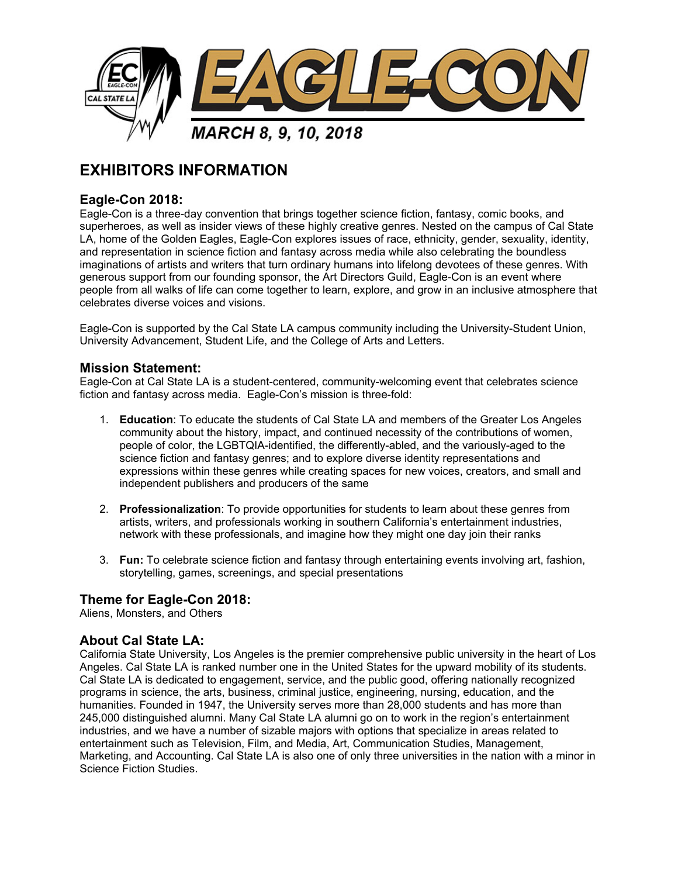

# **EXHIBITORS INFORMATION**

# **Eagle-Con 2018:**

Eagle-Con is a three-day convention that brings together science fiction, fantasy, comic books, and superheroes, as well as insider views of these highly creative genres. Nested on the campus of Cal State LA, home of the Golden Eagles, Eagle-Con explores issues of race, ethnicity, gender, sexuality, identity, and representation in science fiction and fantasy across media while also celebrating the boundless imaginations of artists and writers that turn ordinary humans into lifelong devotees of these genres. With generous support from our founding sponsor, the Art Directors Guild, Eagle-Con is an event where people from all walks of life can come together to learn, explore, and grow in an inclusive atmosphere that celebrates diverse voices and visions.

Eagle-Con is supported by the Cal State LA campus community including the University-Student Union, University Advancement, Student Life, and the College of Arts and Letters.

#### **Mission Statement:**

Eagle-Con at Cal State LA is a student-centered, community-welcoming event that celebrates science fiction and fantasy across media. Eagle-Con's mission is three-fold:

- 1. **Education**: To educate the students of Cal State LA and members of the Greater Los Angeles community about the history, impact, and continued necessity of the contributions of women, people of color, the LGBTQIA-identified, the differently-abled, and the variously-aged to the science fiction and fantasy genres; and to explore diverse identity representations and expressions within these genres while creating spaces for new voices, creators, and small and independent publishers and producers of the same
- 2. **Professionalization**: To provide opportunities for students to learn about these genres from artists, writers, and professionals working in southern California's entertainment industries, network with these professionals, and imagine how they might one day join their ranks
- 3. **Fun:** To celebrate science fiction and fantasy through entertaining events involving art, fashion, storytelling, games, screenings, and special presentations

### **Theme for Eagle-Con 2018:**

Aliens, Monsters, and Others

#### **About Cal State LA:**

California State University, Los Angeles is the premier comprehensive public university in the heart of Los Angeles. Cal State LA is ranked number one in the United States for the upward mobility of its students. Cal State LA is dedicated to engagement, service, and the public good, offering nationally recognized programs in science, the arts, business, criminal justice, engineering, nursing, education, and the humanities. Founded in 1947, the University serves more than 28,000 students and has more than 245,000 distinguished alumni. Many Cal State LA alumni go on to work in the region's entertainment industries, and we have a number of sizable majors with options that specialize in areas related to entertainment such as Television, Film, and Media, Art, Communication Studies, Management, Marketing, and Accounting. Cal State LA is also one of only three universities in the nation with a minor in Science Fiction Studies.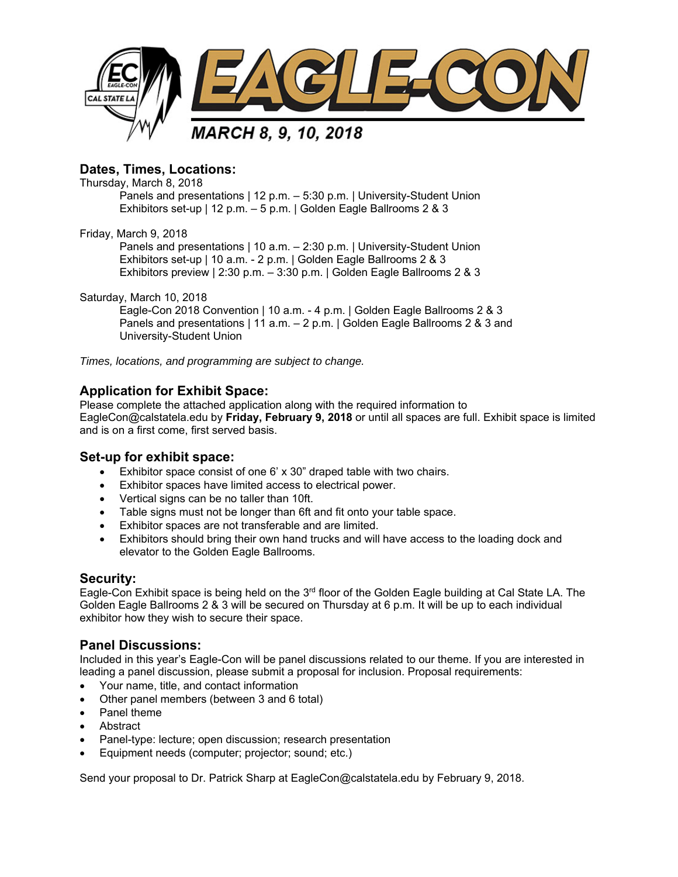

# **Dates, Times, Locations:**

Thursday, March 8, 2018

Panels and presentations | 12 p.m. – 5:30 p.m. | University-Student Union Exhibitors set-up | 12 p.m. – 5 p.m. | Golden Eagle Ballrooms 2 & 3

Friday, March 9, 2018

Panels and presentations | 10 a.m. – 2:30 p.m. | University-Student Union Exhibitors set-up | 10 a.m. - 2 p.m. | Golden Eagle Ballrooms 2 & 3 Exhibitors preview | 2:30 p.m. – 3:30 p.m. | Golden Eagle Ballrooms 2 & 3

Saturday, March 10, 2018

Eagle-Con 2018 Convention | 10 a.m. - 4 p.m. | Golden Eagle Ballrooms 2 & 3 Panels and presentations | 11 a.m. - 2 p.m. | Golden Eagle Ballrooms 2 & 3 and University-Student Union

*Times, locations, and programming are subject to change.*

# **Application for Exhibit Space:**

Please complete the attached application along with the required information to EagleCon@calstatela.edu by **Friday, February 9, 2018** or until all spaces are full. Exhibit space is limited and is on a first come, first served basis.

### **Set-up for exhibit space:**

- Exhibitor space consist of one 6' x 30" draped table with two chairs.
- Exhibitor spaces have limited access to electrical power.
- Vertical signs can be no taller than 10ft.
- Table signs must not be longer than 6ft and fit onto your table space.
- **Exhibitor spaces are not transferable and are limited.**
- Exhibitors should bring their own hand trucks and will have access to the loading dock and elevator to the Golden Eagle Ballrooms.

### **Security:**

Eagle-Con Exhibit space is being held on the 3<sup>rd</sup> floor of the Golden Eagle building at Cal State LA. The Golden Eagle Ballrooms 2 & 3 will be secured on Thursday at 6 p.m. It will be up to each individual exhibitor how they wish to secure their space.

### **Panel Discussions:**

Included in this year's Eagle-Con will be panel discussions related to our theme. If you are interested in leading a panel discussion, please submit a proposal for inclusion. Proposal requirements:

- Your name, title, and contact information
- Other panel members (between 3 and 6 total)
- Panel theme
- Abstract
- Panel-type: lecture; open discussion; research presentation
- Equipment needs (computer; projector; sound; etc.)

Send your proposal to Dr. Patrick Sharp at EagleCon@calstatela.edu by February 9, 2018.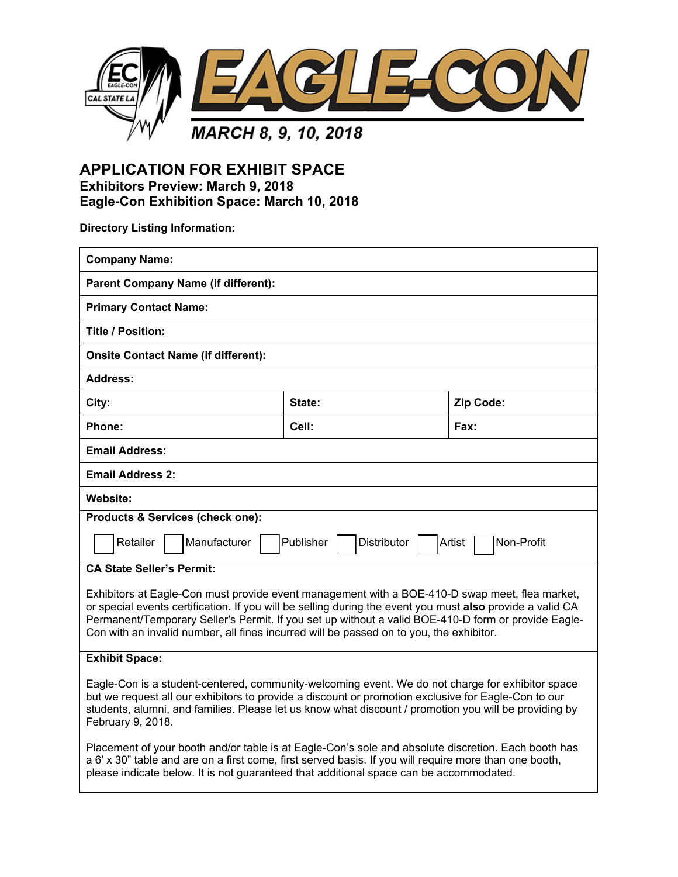

**APPLICATION FOR EXHIBIT SPACE Exhibitors Preview: March 9, 2018 Eagle-Con Exhibition Space: March 10, 2018**

**Directory Listing Information:** 

| <b>Company Name:</b>                                                                                                                                                                                                                                                                                                                  |        |           |  |  |
|---------------------------------------------------------------------------------------------------------------------------------------------------------------------------------------------------------------------------------------------------------------------------------------------------------------------------------------|--------|-----------|--|--|
| <b>Parent Company Name (if different):</b>                                                                                                                                                                                                                                                                                            |        |           |  |  |
| <b>Primary Contact Name:</b>                                                                                                                                                                                                                                                                                                          |        |           |  |  |
| Title / Position:                                                                                                                                                                                                                                                                                                                     |        |           |  |  |
| <b>Onsite Contact Name (if different):</b>                                                                                                                                                                                                                                                                                            |        |           |  |  |
| Address:                                                                                                                                                                                                                                                                                                                              |        |           |  |  |
| City:                                                                                                                                                                                                                                                                                                                                 | State: | Zip Code: |  |  |
| Phone:                                                                                                                                                                                                                                                                                                                                | Cell:  | Fax:      |  |  |
| <b>Email Address:</b>                                                                                                                                                                                                                                                                                                                 |        |           |  |  |
| <b>Email Address 2:</b>                                                                                                                                                                                                                                                                                                               |        |           |  |  |
| <b>Website:</b>                                                                                                                                                                                                                                                                                                                       |        |           |  |  |
| Products & Services (check one):                                                                                                                                                                                                                                                                                                      |        |           |  |  |
| Retailer<br>Manufacturer<br>Publisher<br><b>Distributor</b><br>Artist<br>Non-Profit                                                                                                                                                                                                                                                   |        |           |  |  |
| <b>CA State Seller's Permit:</b>                                                                                                                                                                                                                                                                                                      |        |           |  |  |
| Exhibitors at Eagle-Con must provide event management with a BOE-410-D swap meet, flea market,                                                                                                                                                                                                                                        |        |           |  |  |
| or special events certification. If you will be selling during the event you must also provide a valid CA<br>Permanent/Temporary Seller's Permit. If you set up without a valid BOE-410-D form or provide Eagle-                                                                                                                      |        |           |  |  |
| Con with an invalid number, all fines incurred will be passed on to you, the exhibitor.                                                                                                                                                                                                                                               |        |           |  |  |
| <b>Exhibit Space:</b>                                                                                                                                                                                                                                                                                                                 |        |           |  |  |
| Eagle-Con is a student-centered, community-welcoming event. We do not charge for exhibitor space<br>but we request all our exhibitors to provide a discount or promotion exclusive for Eagle-Con to our<br>students, alumni, and families. Please let us know what discount / promotion you will be providing by<br>February 9, 2018. |        |           |  |  |
| Placement of your booth and/or table is at Eagle-Con's sole and absolute discretion. Each booth has<br>a 6' x 30" table and are on a first come, first served basis. If you will require more than one booth,<br>please indicate below. It is not guaranteed that additional space can be accommodated.                               |        |           |  |  |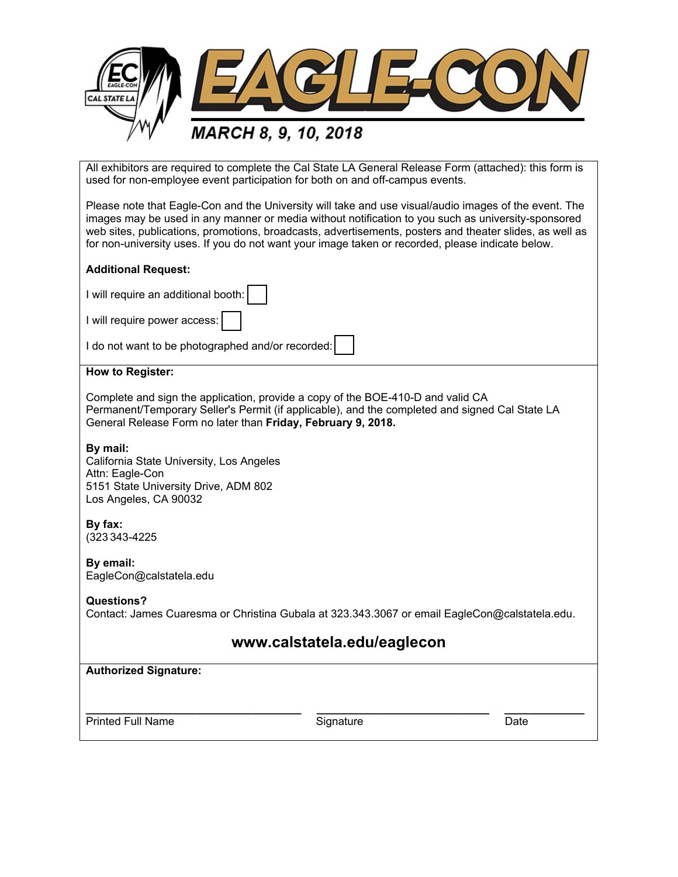

All exhibitors are required to complete the Cal State LA General Release Form (attached): this form is used for non-employee event participation for both on and off-campus events.

Please note that Eagle-Con and the University will take and use visual/audio images of the event. The images may be used in any manner or media without notification to you such as university-sponsored web sites, publications, promotions, broadcasts, advertisements, posters and theater slides, as well as for non-university uses. If you do not want your image taken or recorded, please indicate below.

#### **Additional Request:**

I will require an additional booth:

I will require power access:

I do not want to be photographed and/or recorded:

#### **How to Register:**

Complete and sign the application, provide a copy of the BOE-410-D and valid CA Permanent/Temporary Seller's Permit (if applicable), and the completed and signed Cal State LA General Release Form no later than **Friday, February 9, 2018.** 

#### **By mail:**

California State University, Los Angeles Attn: Eagle-Con 5151 State University Drive, ADM 802 Los Angeles, CA 90032

### **By fax:**

(323 343-4225

**By email:** EagleCon@calstatela.edu

#### **Questions?**

Contact: James Cuaresma or Christina Gubala at 323.343.3067 or email EagleCon@calstatela.edu.

# **www.calstatela.edu/eaglecon**

| <b>Authorized Signature:</b> |           |      |
|------------------------------|-----------|------|
| <b>Printed Full Name</b>     | Signature | Date |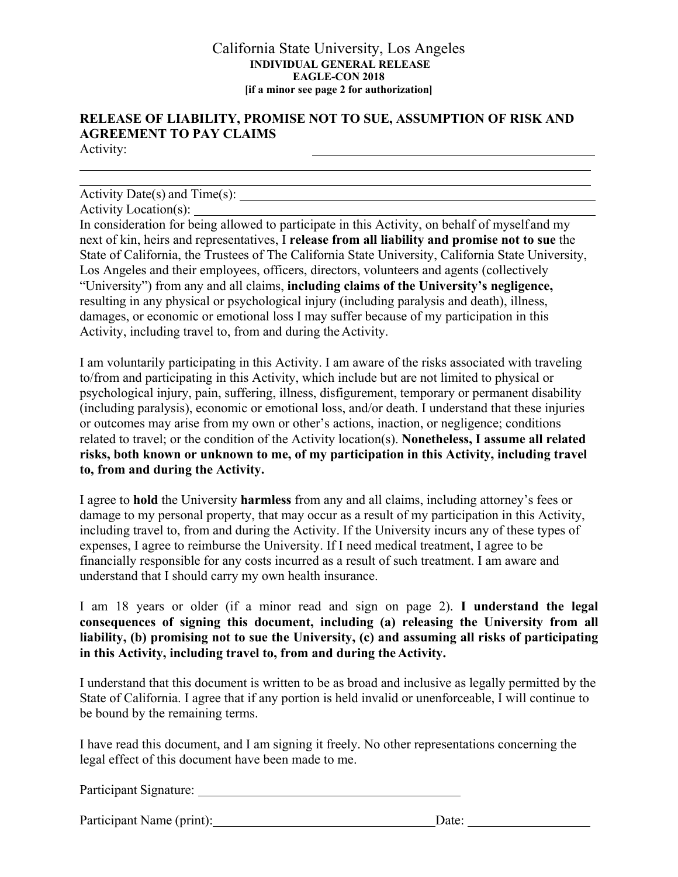#### California State University, Los Angeles **INDIVIDUAL GENERAL RELEASE EAGLE-CON 2018 [if a minor see page 2 for authorization]**

# **RELEASE OF LIABILITY, PROMISE NOT TO SUE, ASSUMPTION OF RISK AND AGREEMENT TO PAY CLAIMS**

Activity:

### Activity Date(s) and Time(s):

Activity Location(s):

Activity Location(s): <br>In consideration for being allowed to participate in this Activity, on behalf of myself and my next of kin, heirs and representatives, I **release from all liability and promise not to sue** the State of California, the Trustees of The California State University, California State University, Los Angeles and their employees, officers, directors, volunteers and agents (collectively "University") from any and all claims, **including claims of the University's negligence,**  resulting in any physical or psychological injury (including paralysis and death), illness, damages, or economic or emotional loss I may suffer because of my participation in this Activity, including travel to, from and during the Activity.

I am voluntarily participating in this Activity. I am aware of the risks associated with traveling to/from and participating in this Activity, which include but are not limited to physical or psychological injury, pain, suffering, illness, disfigurement, temporary or permanent disability (including paralysis), economic or emotional loss, and/or death. I understand that these injuries or outcomes may arise from my own or other's actions, inaction, or negligence; conditions related to travel; or the condition of the Activity location(s). **Nonetheless, I assume all related risks, both known or unknown to me, of my participation in this Activity, including travel to, from and during the Activity.** 

I agree to **hold** the University **harmless** from any and all claims, including attorney's fees or damage to my personal property, that may occur as a result of my participation in this Activity, including travel to, from and during the Activity. If the University incurs any of these types of expenses, I agree to reimburse the University. If I need medical treatment, I agree to be financially responsible for any costs incurred as a result of such treatment. I am aware and understand that I should carry my own health insurance.

I am 18 years or older (if a minor read and sign on page 2). **I understand the legal consequences of signing this document, including (a) releasing the University from all liability, (b) promising not to sue the University, (c) and assuming all risks of participating in this Activity, including travel to, from and during the Activity.** 

I understand that this document is written to be as broad and inclusive as legally permitted by the State of California. I agree that if any portion is held invalid or unenforceable, I will continue to be bound by the remaining terms.

I have read this document, and I am signing it freely. No other representations concerning the legal effect of this document have been made to me.

Participant Signature:

Participant Name (print): Date: Date: